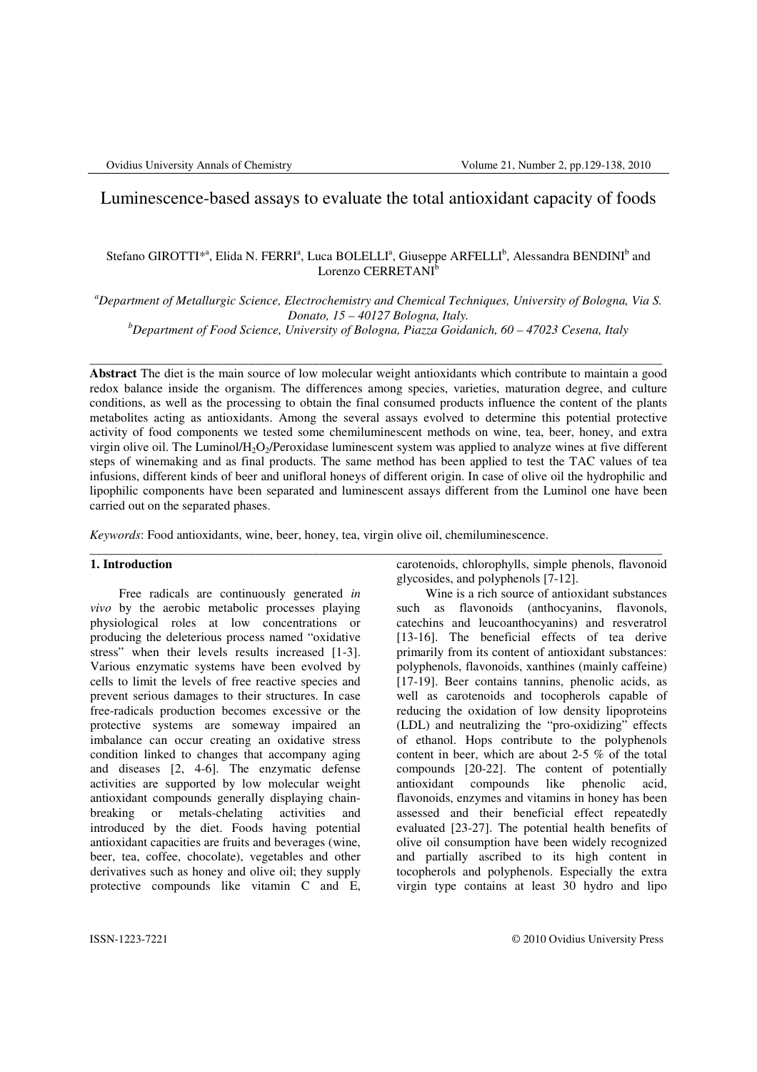# Luminescence-based assays to evaluate the total antioxidant capacity of foods

# Stefano GIROTTI<sup>\*ª</sup>, Elida N. FERRI<sup>ª</sup>, Luca BOLELLI<sup>ª</sup>, Giuseppe ARFELLI<sup>b</sup>, Alessandra BENDINI<sup>b</sup> and Lorenzo CERRETANI<sup>b</sup>

*<sup>a</sup>Department of Metallurgic Science, Electrochemistry and Chemical Techniques, University of Bologna, Via S. Donato, 15 – 40127 Bologna, Italy.* 

*<sup>b</sup>Department of Food Science, University of Bologna, Piazza Goidanich, 60 – 47023 Cesena, Italy*

\_\_\_\_\_\_\_\_\_\_\_\_\_\_\_\_\_\_\_\_\_\_\_\_\_\_\_\_\_\_\_\_\_\_\_\_\_\_\_\_\_\_\_\_\_\_\_\_\_\_\_\_\_\_\_\_\_\_\_\_\_\_\_\_\_\_\_\_\_\_\_\_\_\_\_\_\_\_\_\_\_\_\_\_\_\_\_\_\_\_

**Abstract** The diet is the main source of low molecular weight antioxidants which contribute to maintain a good redox balance inside the organism. The differences among species, varieties, maturation degree, and culture conditions, as well as the processing to obtain the final consumed products influence the content of the plants metabolites acting as antioxidants. Among the several assays evolved to determine this potential protective activity of food components we tested some chemiluminescent methods on wine, tea, beer, honey, and extra virgin olive oil. The Luminol/H<sub>2</sub>O<sub>2</sub>/Peroxidase luminescent system was applied to analyze wines at five different steps of winemaking and as final products. The same method has been applied to test the TAC values of tea infusions, different kinds of beer and unifloral honeys of different origin. In case of olive oil the hydrophilic and lipophilic components have been separated and luminescent assays different from the Luminol one have been carried out on the separated phases.

\_\_\_\_\_\_\_\_\_\_\_\_\_\_\_\_\_\_\_\_\_\_\_\_\_\_\_\_\_\_\_\_\_\_\_\_\_\_\_\_\_\_\_\_\_\_\_\_\_\_\_\_\_\_\_\_\_\_\_\_\_\_\_\_\_\_\_\_\_\_\_\_\_\_\_\_\_\_\_\_\_\_\_\_\_\_\_\_\_\_

*Keywords*: Food antioxidants, wine, beer, honey, tea, virgin olive oil, chemiluminescence.

### **1. Introduction**

Free radicals are continuously generated *in vivo* by the aerobic metabolic processes playing physiological roles at low concentrations or producing the deleterious process named "oxidative stress" when their levels results increased [1-3]. Various enzymatic systems have been evolved by cells to limit the levels of free reactive species and prevent serious damages to their structures. In case free-radicals production becomes excessive or the protective systems are someway impaired an imbalance can occur creating an oxidative stress condition linked to changes that accompany aging and diseases [2, 4-6]. The enzymatic defense activities are supported by low molecular weight antioxidant compounds generally displaying chainbreaking or metals-chelating activities and introduced by the diet. Foods having potential antioxidant capacities are fruits and beverages (wine, beer, tea, coffee, chocolate), vegetables and other derivatives such as honey and olive oil; they supply protective compounds like vitamin C and E,

carotenoids, chlorophylls, simple phenols, flavonoid glycosides, and polyphenols [7-12].

Wine is a rich source of antioxidant substances such as flavonoids (anthocyanins, flavonols, catechins and leucoanthocyanins) and resveratrol [13-16]. The beneficial effects of tea derive primarily from its content of antioxidant substances: polyphenols, flavonoids, xanthines (mainly caffeine) [17-19]. Beer contains tannins, phenolic acids, as well as carotenoids and tocopherols capable of reducing the oxidation of low density lipoproteins (LDL) and neutralizing the "pro-oxidizing" effects of ethanol. Hops contribute to the polyphenols content in beer, which are about 2-5 % of the total compounds [20-22]. The content of potentially antioxidant compounds like phenolic acid, flavonoids, enzymes and vitamins in honey has been assessed and their beneficial effect repeatedly evaluated [23-27]. The potential health benefits of olive oil consumption have been widely recognized and partially ascribed to its high content in tocopherols and polyphenols. Especially the extra virgin type contains at least 30 hydro and lipo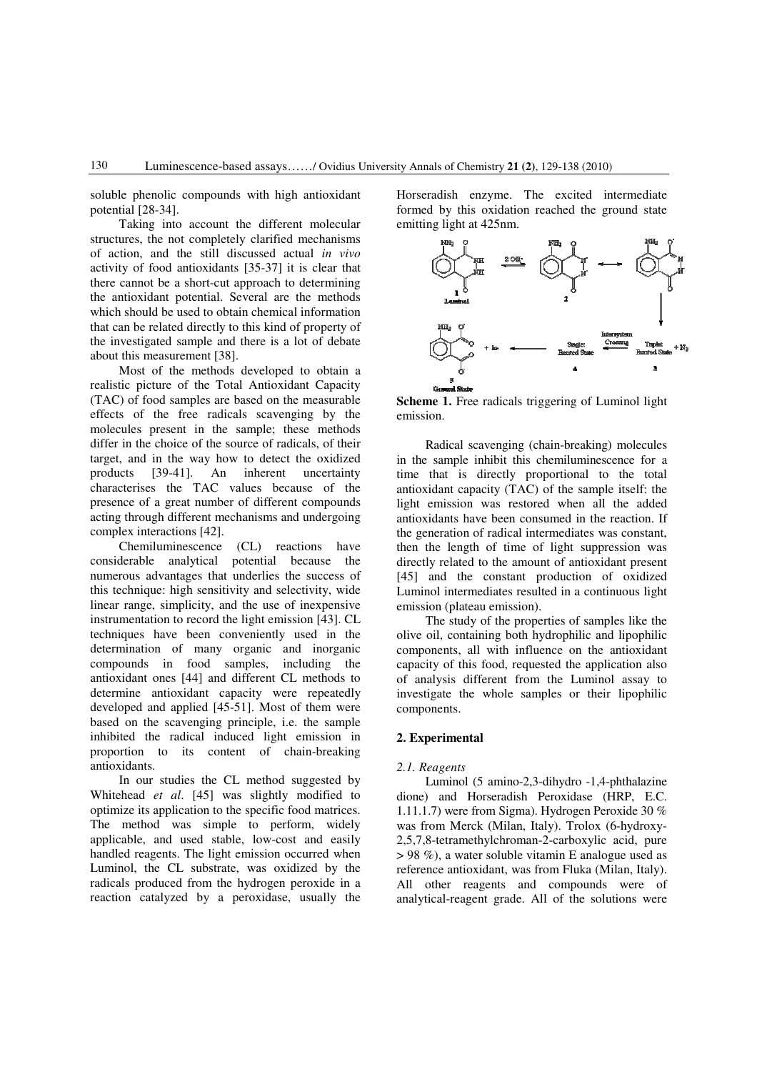soluble phenolic compounds with high antioxidant potential [28-34].

Taking into account the different molecular structures, the not completely clarified mechanisms of action, and the still discussed actual *in vivo* activity of food antioxidants [35-37] it is clear that there cannot be a short-cut approach to determining the antioxidant potential. Several are the methods which should be used to obtain chemical information that can be related directly to this kind of property of the investigated sample and there is a lot of debate about this measurement [38].

Most of the methods developed to obtain a realistic picture of the Total Antioxidant Capacity (TAC) of food samples are based on the measurable effects of the free radicals scavenging by the molecules present in the sample; these methods differ in the choice of the source of radicals, of their target, and in the way how to detect the oxidized products [39-41]. An inherent uncertainty characterises the TAC values because of the presence of a great number of different compounds acting through different mechanisms and undergoing complex interactions [42].

Chemiluminescence (CL) reactions have considerable analytical potential because the numerous advantages that underlies the success of this technique: high sensitivity and selectivity, wide linear range, simplicity, and the use of inexpensive instrumentation to record the light emission [43]. CL techniques have been conveniently used in the determination of many organic and inorganic compounds in food samples, including the antioxidant ones [44] and different CL methods to determine antioxidant capacity were repeatedly developed and applied [45-51]. Most of them were based on the scavenging principle, i.e. the sample inhibited the radical induced light emission in proportion to its content of chain-breaking antioxidants.

In our studies the CL method suggested by Whitehead *et al*. [45] was slightly modified to optimize its application to the specific food matrices. The method was simple to perform, widely applicable, and used stable, low-cost and easily handled reagents. The light emission occurred when Luminol, the CL substrate, was oxidized by the radicals produced from the hydrogen peroxide in a reaction catalyzed by a peroxidase, usually the Horseradish enzyme. The excited intermediate formed by this oxidation reached the ground state emitting light at 425nm.



**Scheme 1.** Free radicals triggering of Luminol light emission.

Radical scavenging (chain-breaking) molecules in the sample inhibit this chemiluminescence for a time that is directly proportional to the total antioxidant capacity (TAC) of the sample itself: the light emission was restored when all the added antioxidants have been consumed in the reaction. If the generation of radical intermediates was constant, then the length of time of light suppression was directly related to the amount of antioxidant present [45] and the constant production of oxidized Luminol intermediates resulted in a continuous light emission (plateau emission).

The study of the properties of samples like the olive oil, containing both hydrophilic and lipophilic components, all with influence on the antioxidant capacity of this food, requested the application also of analysis different from the Luminol assay to investigate the whole samples or their lipophilic components.

### **2. Experimental**

#### *2.1. Reagents*

Luminol (5 amino-2,3-dihydro -1,4-phthalazine dione) and Horseradish Peroxidase (HRP, E.C. 1.11.1.7) were from Sigma). Hydrogen Peroxide 30 % was from Merck (Milan, Italy). Trolox (6-hydroxy-2,5,7,8-tetramethylchroman-2-carboxylic acid, pure > 98 %), a water soluble vitamin E analogue used as reference antioxidant, was from Fluka (Milan, Italy). All other reagents and compounds were of analytical-reagent grade. All of the solutions were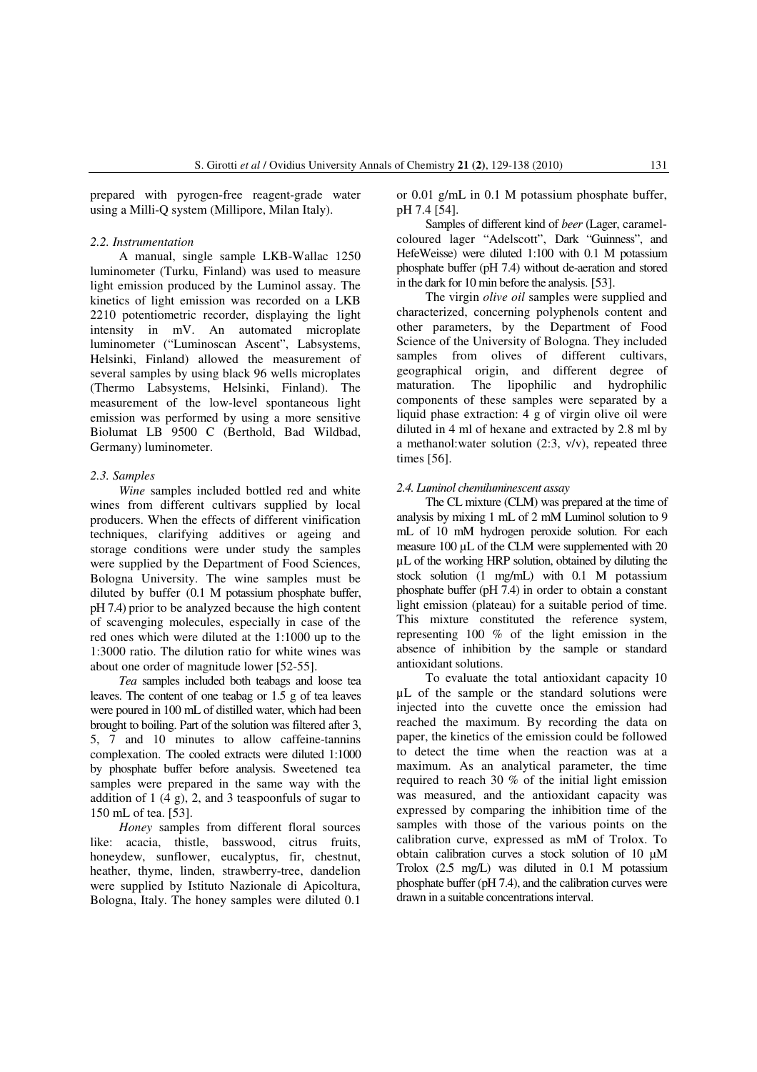prepared with pyrogen-free reagent-grade water using a Milli-Q system (Millipore, Milan Italy).

#### *2.2. Instrumentation*

A manual, single sample LKB-Wallac 1250 luminometer (Turku, Finland) was used to measure light emission produced by the Luminol assay. The kinetics of light emission was recorded on a LKB 2210 potentiometric recorder, displaying the light intensity in mV. An automated microplate luminometer ("Luminoscan Ascent", Labsystems, Helsinki, Finland) allowed the measurement of several samples by using black 96 wells microplates (Thermo Labsystems, Helsinki, Finland). The measurement of the low-level spontaneous light emission was performed by using a more sensitive Biolumat LB 9500 C (Berthold, Bad Wildbad, Germany) luminometer.

#### *2.3. Samples*

*Wine* samples included bottled red and white wines from different cultivars supplied by local producers. When the effects of different vinification techniques, clarifying additives or ageing and storage conditions were under study the samples were supplied by the Department of Food Sciences, Bologna University. The wine samples must be diluted by buffer (0.1 M potassium phosphate buffer, pH 7.4) prior to be analyzed because the high content of scavenging molecules, especially in case of the red ones which were diluted at the 1:1000 up to the 1:3000 ratio. The dilution ratio for white wines was about one order of magnitude lower [52-55].

*Tea* samples included both teabags and loose tea leaves. The content of one teabag or 1.5 g of tea leaves were poured in 100 mL of distilled water, which had been brought to boiling. Part of the solution was filtered after 3, 5, 7 and 10 minutes to allow caffeine-tannins complexation. The cooled extracts were diluted 1:1000 by phosphate buffer before analysis. Sweetened tea samples were prepared in the same way with the addition of  $1(4 \text{ g})$ , 2, and 3 teaspoonfuls of sugar to 150 mL of tea. [53].

*Honey* samples from different floral sources like: acacia, thistle, basswood, citrus fruits, honeydew, sunflower, eucalyptus, fir, chestnut, heather, thyme, linden, strawberry-tree, dandelion were supplied by Istituto Nazionale di Apicoltura, Bologna, Italy. The honey samples were diluted 0.1

or 0.01 g/mL in 0.1 M potassium phosphate buffer, pH 7.4 [54].

Samples of different kind of *beer* (Lager, caramelcoloured lager "Adelscott", Dark "Guinness", and HefeWeisse) were diluted 1:100 with 0.1 M potassium phosphate buffer (pH 7.4) without de-aeration and stored in the dark for 10 min before the analysis. [53].

The virgin *olive oil* samples were supplied and characterized, concerning polyphenols content and other parameters, by the Department of Food Science of the University of Bologna. They included samples from olives of different cultivars, geographical origin, and different degree of maturation. The lipophilic and hydrophilic components of these samples were separated by a liquid phase extraction:  $4 \text{ g}$  of virgin olive oil were diluted in 4 ml of hexane and extracted by 2.8 ml by a methanol: water solution  $(2:3, v/v)$ , repeated three times [56].

#### *2.4. Luminol chemiluminescent assay*

The CL mixture (CLM) was prepared at the time of analysis by mixing 1 mL of 2 mM Luminol solution to 9 mL of 10 mM hydrogen peroxide solution. For each measure 100 µL of the CLM were supplemented with 20 µL of the working HRP solution, obtained by diluting the stock solution (1 mg/mL) with 0.1 M potassium phosphate buffer (pH 7.4) in order to obtain a constant light emission (plateau) for a suitable period of time. This mixture constituted the reference system, representing 100 % of the light emission in the absence of inhibition by the sample or standard antioxidant solutions.

To evaluate the total antioxidant capacity 10 µL of the sample or the standard solutions were injected into the cuvette once the emission had reached the maximum. By recording the data on paper, the kinetics of the emission could be followed to detect the time when the reaction was at a maximum. As an analytical parameter, the time required to reach 30 % of the initial light emission was measured, and the antioxidant capacity was expressed by comparing the inhibition time of the samples with those of the various points on the calibration curve, expressed as mM of Trolox. To obtain calibration curves a stock solution of 10 µM Trolox (2.5 mg/L) was diluted in 0.1 M potassium phosphate buffer (pH 7.4), and the calibration curves were drawn in a suitable concentrations interval.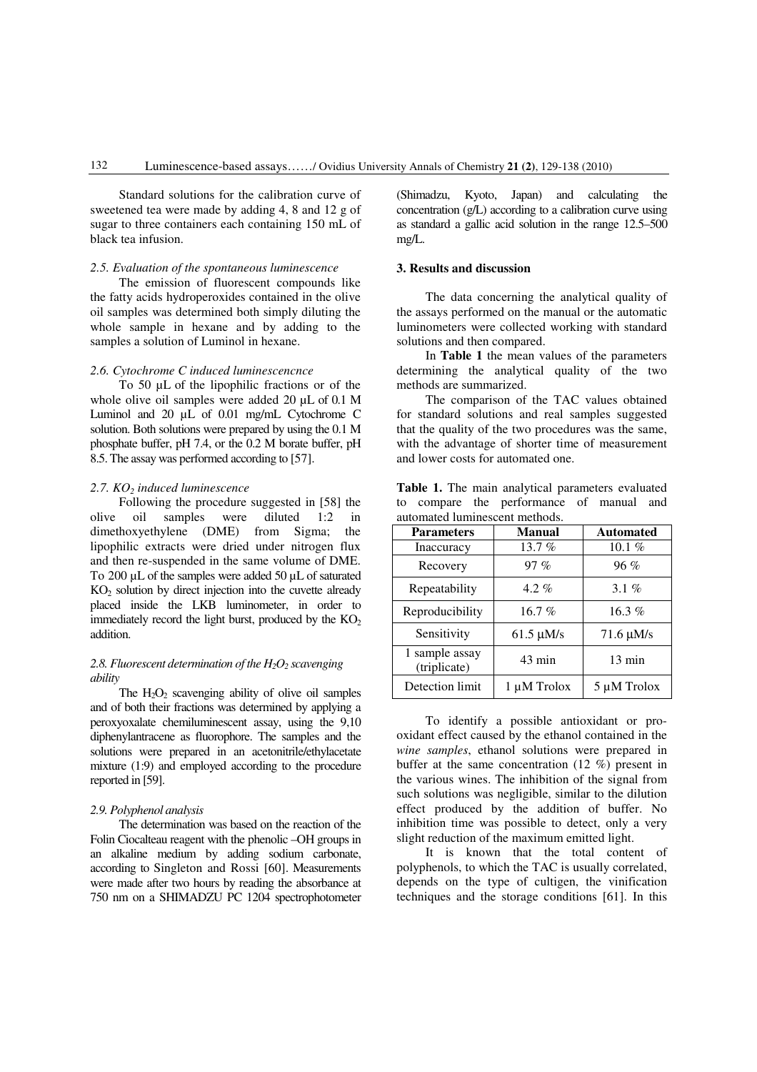Standard solutions for the calibration curve of sweetened tea were made by adding 4, 8 and 12 g of sugar to three containers each containing 150 mL of black tea infusion.

### *2.5. Evaluation of the spontaneous luminescence*

The emission of fluorescent compounds like the fatty acids hydroperoxides contained in the olive oil samples was determined both simply diluting the whole sample in hexane and by adding to the samples a solution of Luminol in hexane.

# *2.6. Cytochrome C induced luminescencnce*

To 50 µL of the lipophilic fractions or of the whole olive oil samples were added 20 uL of 0.1 M Luminol and 20 uL of 0.01 mg/mL Cytochrome C solution. Both solutions were prepared by using the 0.1 M phosphate buffer, pH 7.4, or the 0.2 M borate buffer, pH 8.5. The assay was performed according to [57].

### *2.7. KO2 induced luminescence*

Following the procedure suggested in [58] the olive oil samples were diluted 1:2 in dimethoxyethylene (DME) from Sigma; the lipophilic extracts were dried under nitrogen flux and then re-suspended in the same volume of DME. To 200 µL of the samples were added 50 µL of saturated  $KO<sub>2</sub>$  solution by direct injection into the cuvette already placed inside the LKB luminometer, in order to immediately record the light burst, produced by the  $KO<sub>2</sub>$ addition.

### *2.8. Fluorescent determination of the H2O2 scavenging ability*

The  $H_2O_2$  scavenging ability of olive oil samples and of both their fractions was determined by applying a peroxyoxalate chemiluminescent assay, using the 9,10 diphenylantracene as fluorophore. The samples and the solutions were prepared in an acetonitrile/ethylacetate mixture (1:9) and employed according to the procedure reported in [59].

### *2.9. Polyphenol analysis*

The determination was based on the reaction of the Folin Ciocalteau reagent with the phenolic –OH groups in an alkaline medium by adding sodium carbonate, according to Singleton and Rossi [60]. Measurements were made after two hours by reading the absorbance at 750 nm on a SHIMADZU PC 1204 spectrophotometer (Shimadzu, Kyoto, Japan) and calculating the concentration (g/L) according to a calibration curve using as standard a gallic acid solution in the range 12.5–500 mg/L.

### **3. Results and discussion**

The data concerning the analytical quality of the assays performed on the manual or the automatic luminometers were collected working with standard solutions and then compared.

In **Table 1** the mean values of the parameters determining the analytical quality of the two methods are summarized.

The comparison of the TAC values obtained for standard solutions and real samples suggested that the quality of the two procedures was the same, with the advantage of shorter time of measurement and lower costs for automated one.

|                                |  |  |  | Table 1. The main analytical parameters evaluated |  |  |  |  |  |
|--------------------------------|--|--|--|---------------------------------------------------|--|--|--|--|--|
|                                |  |  |  | to compare the performance of manual and          |  |  |  |  |  |
| automated luminescent methods. |  |  |  |                                                   |  |  |  |  |  |

| <b>Parameters</b>              | <b>Manual</b>    | <b>Automated</b> |  |
|--------------------------------|------------------|------------------|--|
| Inaccuracy                     | 13.7%            | 10.1 $%$         |  |
| Recovery                       | 97%              | 96%              |  |
| Repeatability                  | $4.2\%$          | 3.1 $%$          |  |
| Reproducibility                | 16.7%            | $16.3\%$         |  |
| Sensitivity                    | $61.5 \mu M/s$   | $71.6 \mu M/s$   |  |
| 1 sample assay<br>(triplicate) | $43 \text{ min}$ | $13 \text{ min}$ |  |
| Detection limit                | 1 µM Trolox      | 5 µM Trolox      |  |

To identify a possible antioxidant or prooxidant effect caused by the ethanol contained in the *wine samples*, ethanol solutions were prepared in buffer at the same concentration (12 %) present in the various wines. The inhibition of the signal from such solutions was negligible, similar to the dilution effect produced by the addition of buffer. No inhibition time was possible to detect, only a very slight reduction of the maximum emitted light.

It is known that the total content of polyphenols, to which the TAC is usually correlated, depends on the type of cultigen, the vinification techniques and the storage conditions [61]. In this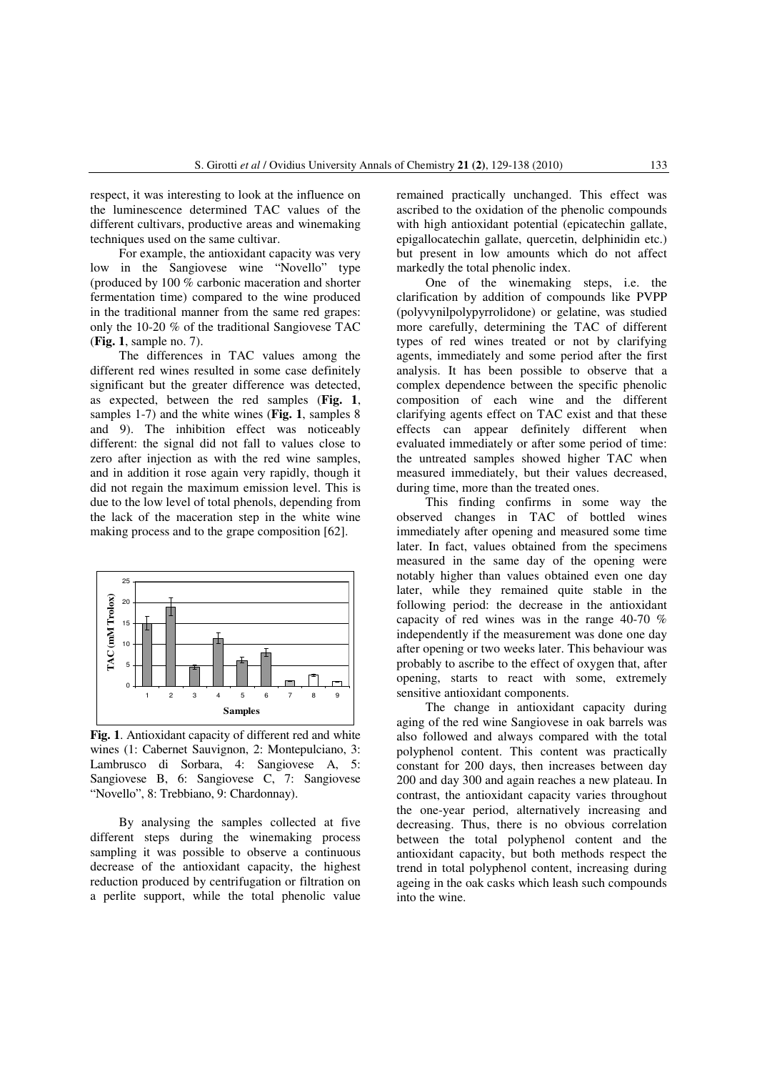respect, it was interesting to look at the influence on the luminescence determined TAC values of the different cultivars, productive areas and winemaking techniques used on the same cultivar.

For example, the antioxidant capacity was very low in the Sangiovese wine "Novello" type (produced by 100 % carbonic maceration and shorter fermentation time) compared to the wine produced in the traditional manner from the same red grapes: only the 10-20 % of the traditional Sangiovese TAC (**Fig. 1**, sample no. 7).

The differences in TAC values among the different red wines resulted in some case definitely significant but the greater difference was detected, as expected, between the red samples (**Fig. 1**, samples 1-7) and the white wines (**Fig. 1**, samples 8 and 9). The inhibition effect was noticeably different: the signal did not fall to values close to zero after injection as with the red wine samples, and in addition it rose again very rapidly, though it did not regain the maximum emission level. This is due to the low level of total phenols, depending from the lack of the maceration step in the white wine making process and to the grape composition [62].



**Fig. 1**. Antioxidant capacity of different red and white wines (1: Cabernet Sauvignon, 2: Montepulciano, 3: Lambrusco di Sorbara, 4: Sangiovese A, 5: Sangiovese B, 6: Sangiovese C, 7: Sangiovese "Novello", 8: Trebbiano, 9: Chardonnay).

By analysing the samples collected at five different steps during the winemaking process sampling it was possible to observe a continuous decrease of the antioxidant capacity, the highest reduction produced by centrifugation or filtration on a perlite support, while the total phenolic value

remained practically unchanged. This effect was ascribed to the oxidation of the phenolic compounds with high antioxidant potential (epicatechin gallate, epigallocatechin gallate, quercetin, delphinidin etc.) but present in low amounts which do not affect markedly the total phenolic index.

One of the winemaking steps, i.e. the clarification by addition of compounds like PVPP (polyvynilpolypyrrolidone) or gelatine, was studied more carefully, determining the TAC of different types of red wines treated or not by clarifying agents, immediately and some period after the first analysis. It has been possible to observe that a complex dependence between the specific phenolic composition of each wine and the different clarifying agents effect on TAC exist and that these effects can appear definitely different when evaluated immediately or after some period of time: the untreated samples showed higher TAC when measured immediately, but their values decreased, during time, more than the treated ones.

This finding confirms in some way the observed changes in TAC of bottled wines immediately after opening and measured some time later. In fact, values obtained from the specimens measured in the same day of the opening were notably higher than values obtained even one day later, while they remained quite stable in the following period: the decrease in the antioxidant capacity of red wines was in the range 40-70 % independently if the measurement was done one day after opening or two weeks later. This behaviour was probably to ascribe to the effect of oxygen that, after opening, starts to react with some, extremely sensitive antioxidant components.

The change in antioxidant capacity during aging of the red wine Sangiovese in oak barrels was also followed and always compared with the total polyphenol content. This content was practically constant for 200 days, then increases between day 200 and day 300 and again reaches a new plateau. In contrast, the antioxidant capacity varies throughout the one-year period, alternatively increasing and decreasing. Thus, there is no obvious correlation between the total polyphenol content and the antioxidant capacity, but both methods respect the trend in total polyphenol content, increasing during ageing in the oak casks which leash such compounds into the wine.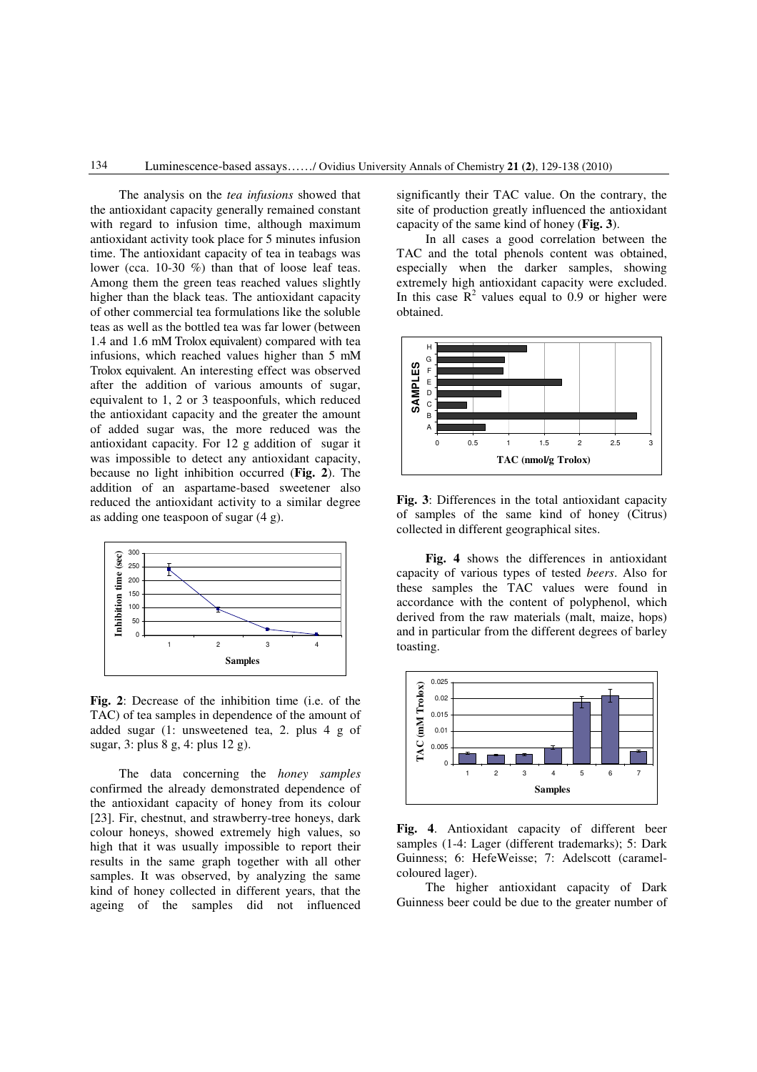The analysis on the *tea infusions* showed that the antioxidant capacity generally remained constant with regard to infusion time, although maximum antioxidant activity took place for 5 minutes infusion time. The antioxidant capacity of tea in teabags was lower (cca. 10-30 %) than that of loose leaf teas. Among them the green teas reached values slightly higher than the black teas. The antioxidant capacity of other commercial tea formulations like the soluble teas as well as the bottled tea was far lower (between 1.4 and 1.6 mM Trolox equivalent) compared with tea infusions, which reached values higher than 5 mM Trolox equivalent. An interesting effect was observed after the addition of various amounts of sugar, equivalent to 1, 2 or 3 teaspoonfuls, which reduced the antioxidant capacity and the greater the amount of added sugar was, the more reduced was the antioxidant capacity. For 12 g addition of sugar it was impossible to detect any antioxidant capacity, because no light inhibition occurred (**Fig. 2**). The addition of an aspartame-based sweetener also reduced the antioxidant activity to a similar degree as adding one teaspoon of sugar (4 g).



**Fig. 2**: Decrease of the inhibition time (i.e. of the TAC) of tea samples in dependence of the amount of added sugar (1: unsweetened tea, 2. plus 4 g of sugar, 3: plus 8 g, 4: plus 12 g).

The data concerning the *honey samples* confirmed the already demonstrated dependence of the antioxidant capacity of honey from its colour [23]. Fir, chestnut, and strawberry-tree honeys, dark colour honeys, showed extremely high values, so high that it was usually impossible to report their results in the same graph together with all other samples. It was observed, by analyzing the same kind of honey collected in different years, that the ageing of the samples did not influenced significantly their TAC value. On the contrary, the site of production greatly influenced the antioxidant capacity of the same kind of honey (**Fig. 3**).

In all cases a good correlation between the TAC and the total phenols content was obtained, especially when the darker samples, showing extremely high antioxidant capacity were excluded. In this case  $\mathbb{R}^2$  values equal to 0.9 or higher were obtained.



**Fig. 3**: Differences in the total antioxidant capacity of samples of the same kind of honey (Citrus) collected in different geographical sites.

**Fig. 4** shows the differences in antioxidant capacity of various types of tested *beers*. Also for these samples the TAC values were found in accordance with the content of polyphenol, which derived from the raw materials (malt, maize, hops) and in particular from the different degrees of barley toasting.





The higher antioxidant capacity of Dark Guinness beer could be due to the greater number of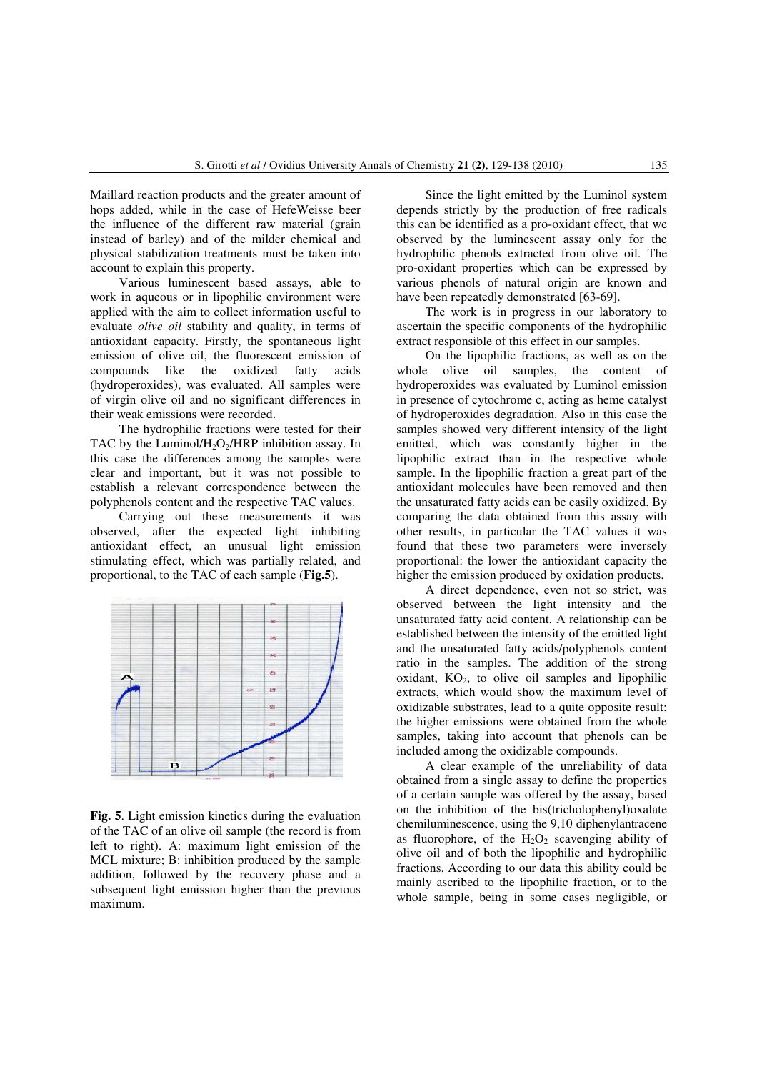Maillard reaction products and the greater amount of hops added, while in the case of HefeWeisse beer the influence of the different raw material (grain instead of barley) and of the milder chemical and physical stabilization treatments must be taken into account to explain this property.

Various luminescent based assays, able to work in aqueous or in lipophilic environment were applied with the aim to collect information useful to evaluate *olive oil* stability and quality, in terms of antioxidant capacity. Firstly, the spontaneous light emission of olive oil, the fluorescent emission of compounds like the oxidized fatty acids (hydroperoxides), was evaluated. All samples were of virgin olive oil and no significant differences in their weak emissions were recorded.

The hydrophilic fractions were tested for their TAC by the Luminol/ $H_2O_2/HRP$  inhibition assay. In this case the differences among the samples were clear and important, but it was not possible to establish a relevant correspondence between the polyphenols content and the respective TAC values.

Carrying out these measurements it was observed, after the expected light inhibiting antioxidant effect, an unusual light emission stimulating effect, which was partially related, and proportional, to the TAC of each sample (**Fig.5**).



**Fig. 5**. Light emission kinetics during the evaluation of the TAC of an olive oil sample (the record is from left to right). A: maximum light emission of the MCL mixture; B: inhibition produced by the sample addition, followed by the recovery phase and a subsequent light emission higher than the previous maximum.

Since the light emitted by the Luminol system depends strictly by the production of free radicals this can be identified as a pro-oxidant effect, that we observed by the luminescent assay only for the hydrophilic phenols extracted from olive oil. The pro-oxidant properties which can be expressed by various phenols of natural origin are known and have been repeatedly demonstrated [63-69].

The work is in progress in our laboratory to ascertain the specific components of the hydrophilic extract responsible of this effect in our samples.

On the lipophilic fractions, as well as on the whole olive oil samples, the content of hydroperoxides was evaluated by Luminol emission in presence of cytochrome c, acting as heme catalyst of hydroperoxides degradation. Also in this case the samples showed very different intensity of the light emitted, which was constantly higher in the lipophilic extract than in the respective whole sample. In the lipophilic fraction a great part of the antioxidant molecules have been removed and then the unsaturated fatty acids can be easily oxidized. By comparing the data obtained from this assay with other results, in particular the TAC values it was found that these two parameters were inversely proportional: the lower the antioxidant capacity the higher the emission produced by oxidation products.

A direct dependence, even not so strict, was observed between the light intensity and the unsaturated fatty acid content. A relationship can be established between the intensity of the emitted light and the unsaturated fatty acids/polyphenols content ratio in the samples. The addition of the strong oxidant,  $KO<sub>2</sub>$ , to olive oil samples and lipophilic extracts, which would show the maximum level of oxidizable substrates, lead to a quite opposite result: the higher emissions were obtained from the whole samples, taking into account that phenols can be included among the oxidizable compounds.

A clear example of the unreliability of data obtained from a single assay to define the properties of a certain sample was offered by the assay, based on the inhibition of the bis(tricholophenyl)oxalate chemiluminescence, using the 9,10 diphenylantracene as fluorophore, of the  $H_2O_2$  scavenging ability of olive oil and of both the lipophilic and hydrophilic fractions. According to our data this ability could be mainly ascribed to the lipophilic fraction, or to the whole sample, being in some cases negligible, or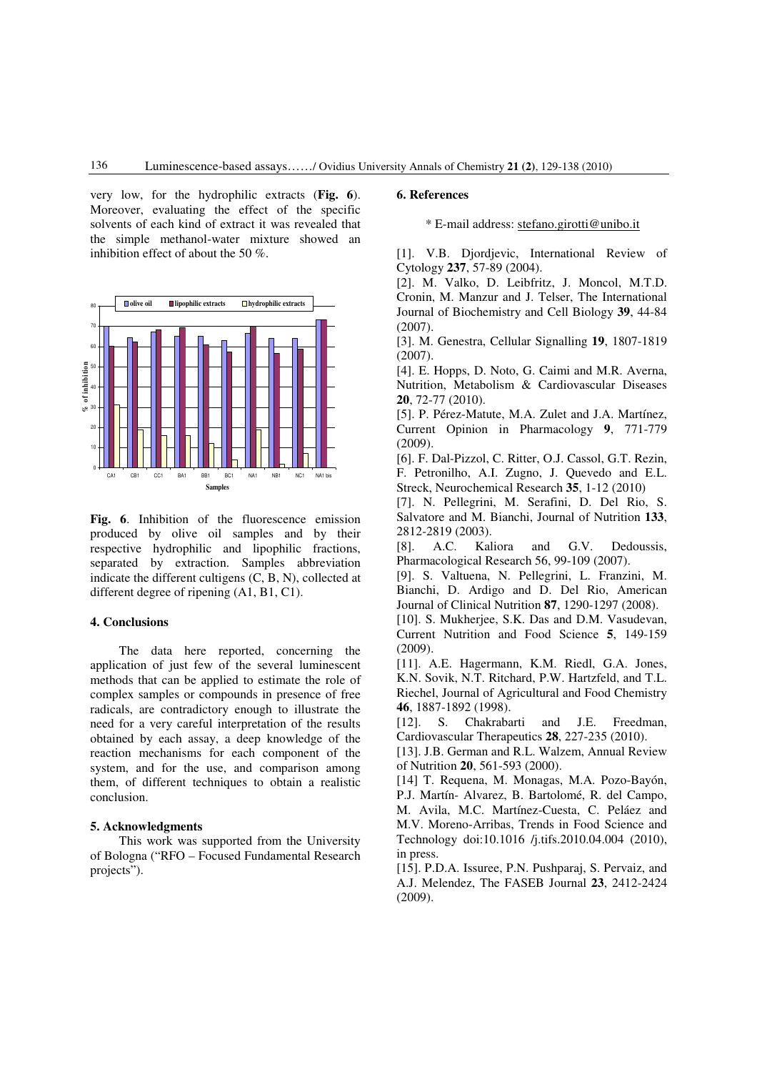very low, for the hydrophilic extracts (**Fig. 6**). Moreover, evaluating the effect of the specific solvents of each kind of extract it was revealed that the simple methanol-water mixture showed an inhibition effect of about the 50 %.



Fig. 6. Inhibition of the fluorescence emission produced by olive oil samples and by their respective hydrophilic and lipophilic fractions, separated by extraction. Samples abbreviation indicate the different cultigens (C, B, N), collected at different degree of ripening (A1, B1, C1).

# **4. Conclusions**

The data here reported, concerning the application of just few of the several luminescent methods that can be applied to estimate the role of complex samples or compounds in presence of free radicals, are contradictory enough to illustrate the need for a very careful interpretation of the results obtained by each assay, a deep knowledge of the reaction mechanisms for each component of the system, and for the use, and comparison among them, of different techniques to obtain a realistic conclusion.

# **5. Acknowledgments**

This work was supported from the University of Bologna ("RFO – Focused Fundamental Research projects").

### **6. References**

\* E-mail address: stefano.girotti@unibo.it

[1]. V.B. Djordjevic, International Review of Cytology **237**, 57-89 (2004).

[2]. M. Valko, D. Leibfritz, J. Moncol, M.T.D. Cronin, M. Manzur and J. Telser, The International Journal of Biochemistry and Cell Biology **39**, 44-84 (2007).

[3]. M. Genestra, Cellular Signalling **19**, 1807-1819 (2007).

[4]. E. Hopps, D. Noto, G. Caimi and M.R. Averna, Nutrition, Metabolism & Cardiovascular Diseases **20**, 72-77 (2010).

[5]. P. Pérez-Matute, M.A. Zulet and J.A. Martínez, Current Opinion in Pharmacology **9**, 771-779 (2009).

[6]. F. Dal-Pizzol, C. Ritter, O.J. Cassol, G.T. Rezin, F. Petronilho, A.I. Zugno, J. Quevedo and E.L. Streck, Neurochemical Research **35**, 1-12 (2010)

[7]. N. Pellegrini, M. Serafini, D. Del Rio, S. Salvatore and M. Bianchi, Journal of Nutrition **133**, 2812-2819 (2003).

[8]. A.C. Kaliora and G.V. Dedoussis, Pharmacological Research 56, 99-109 (2007).

[9]. S. Valtuena, N. Pellegrini, L. Franzini, M. Bianchi, D. Ardigo and D. Del Rio, American Journal of Clinical Nutrition **87**, 1290-1297 (2008).

[10]. S. Mukherjee, S.K. Das and D.M. Vasudevan, Current Nutrition and Food Science **5**, 149-159 (2009).

[11]. A.E. Hagermann, K.M. Riedl, G.A. Jones, K.N. Sovik, N.T. Ritchard, P.W. Hartzfeld, and T.L. Riechel, Journal of Agricultural and Food Chemistry **46**, 1887-1892 (1998).

[12]. S. Chakrabarti and J.E. Freedman, Cardiovascular Therapeutics **28**, 227-235 (2010).

[13]. J.B. German and R.L. Walzem, Annual Review of Nutrition **20**, 561-593 (2000).

[14] T. Requena, M. Monagas, M.A. Pozo-Bayón, P.J. Martín- Alvarez, B. Bartolomé, R. del Campo, M. Avila, M.C. Martínez-Cuesta, C. Peláez and M.V. Moreno-Arribas, Trends in Food Science and Technology doi:10.1016 /j.tifs.2010.04.004 (2010), in press.

[15]. P.D.A. Issuree, P.N. Pushparaj, S. Pervaiz, and A.J. Melendez, The FASEB Journal **23**, 2412-2424 (2009).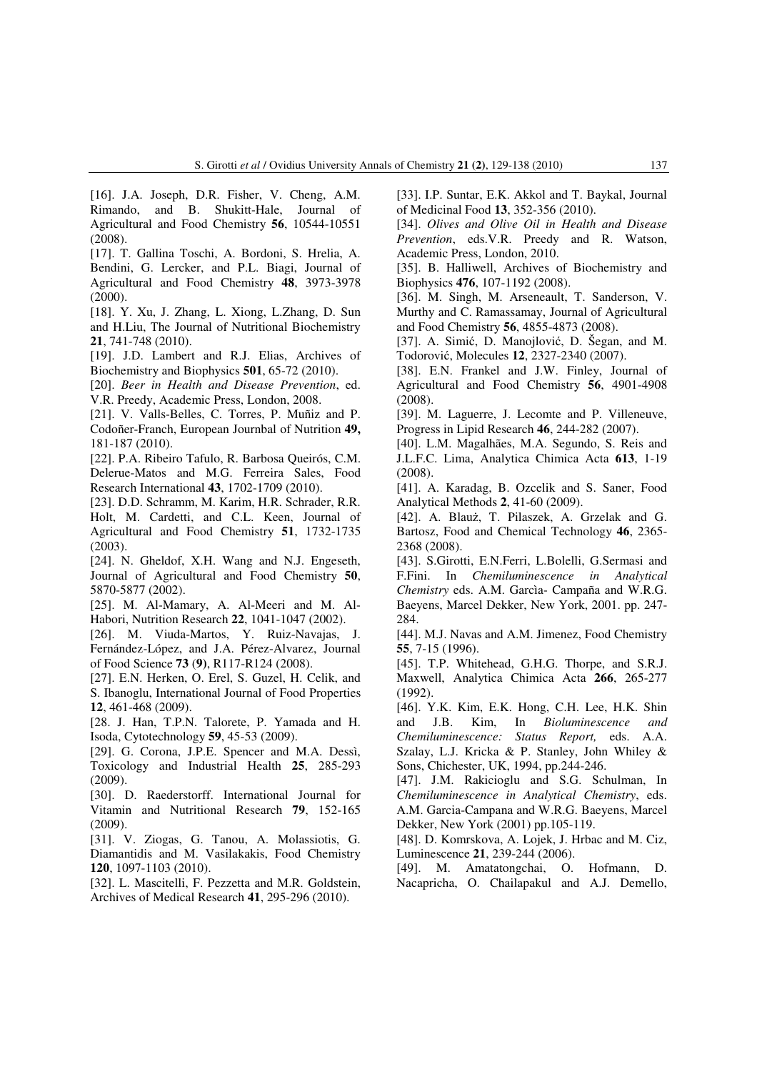[16]. J.A. Joseph, D.R. Fisher, V. Cheng, A.M. Rimando, and B. Shukitt-Hale, Journal of Agricultural and Food Chemistry **56**, 10544-10551 (2008).

[17]. T. Gallina Toschi, A. Bordoni, S. Hrelia, A. Bendini, G. Lercker, and P.L. Biagi, Journal of Agricultural and Food Chemistry **48**, 3973-3978 (2000).

[18]. Y. Xu, J. Zhang, L. Xiong, L.Zhang, D. Sun and H.Liu, The Journal of Nutritional Biochemistry **21**, 741-748 (2010).

[19]. J.D. Lambert and R.J. Elias, Archives of Biochemistry and Biophysics **501**, 65-72 (2010).

[20]. *Beer in Health and Disease Prevention*, ed. V.R. Preedy, Academic Press, London, 2008.

[21]. V. Valls-Belles, C. Torres, P. Muñiz and P. Codoñer-Franch, European Journbal of Nutrition **49,** 181-187 (2010).

[22]. P.A. Ribeiro Tafulo, R. Barbosa Queirós, C.M. Delerue-Matos and M.G. Ferreira Sales, Food Research International **43**, 1702-1709 (2010).

[23]. D.D. Schramm, M. Karim, H.R. Schrader, R.R. Holt, M. Cardetti, and C.L. Keen, Journal of Agricultural and Food Chemistry **51**, 1732-1735 (2003).

[24]. N. Gheldof, X.H. Wang and N.J. Engeseth, Journal of Agricultural and Food Chemistry **50**, 5870-5877 (2002).

[25]. M. Al-Mamary, A. Al-Meeri and M. Al-Habori, Nutrition Research **22**, 1041-1047 (2002).

[26]. M. Viuda-Martos, Y. Ruiz-Navajas, J. Fernández-López, and J.A. Pérez-Alvarez, Journal of Food Science **73** (**9)**, R117-R124 (2008).

[27]. E.N. Herken, O. Erel, S. Guzel, H. Celik, and S. Ibanoglu, International Journal of Food Properties **12**, 461-468 (2009).

[28. J. Han, T.P.N. Talorete, P. Yamada and H. Isoda, Cytotechnology **59**, 45-53 (2009).

[29]. G. Corona, J.P.E. Spencer and M.A. Dessì, Toxicology and Industrial Health **25**, 285-293 (2009).

[30]. D. Raederstorff. International Journal for Vitamin and Nutritional Research **79**, 152-165 (2009).

[31]. V. Ziogas, G. Tanou, A. Molassiotis, G. Diamantidis and M. Vasilakakis, Food Chemistry **120**, 1097-1103 (2010).

[32]. L. Mascitelli, F. Pezzetta and M.R. Goldstein, Archives of Medical Research **41**, 295-296 (2010).

[33]. I.P. Suntar, E.K. Akkol and T. Baykal, Journal of Medicinal Food **13**, 352-356 (2010).

[34]. *Olives and Olive Oil in Health and Disease Prevention*, eds.V.R. Preedy and R. Watson, Academic Press, London, 2010.

[35]. B. Halliwell, Archives of Biochemistry and Biophysics **476**, 107-1192 (2008).

[36]. M. Singh, M. Arseneault, T. Sanderson, V. Murthy and C. Ramassamay, Journal of Agricultural and Food Chemistry **56**, 4855-4873 (2008).

[37]. A. Simić, D. Manojlović, D. Šegan, and M. Todorović, Molecules **12**, 2327-2340 (2007).

[38]. E.N. Frankel and J.W. Finley, Journal of Agricultural and Food Chemistry **56**, 4901-4908 (2008).

[39]. M. Laguerre, J. Lecomte and P. Villeneuve, Progress in Lipid Research **46**, 244-282 (2007).

[40]. L.M. Magalhães, M.A. Segundo, S. Reis and J.L.F.C. Lima, Analytica Chimica Acta **613**, 1-19 (2008).

[41]. A. Karadag, B. Ozcelik and S. Saner, Food Analytical Methods **2**, 41-60 (2009).

[42]. A. Blauż, T. Pilaszek, A. Grzelak and G. Bartosz, Food and Chemical Technology **46**, 2365- 2368 (2008).

[43]. S.Girotti, E.N.Ferri, L.Bolelli, G.Sermasi and F.Fini. In *Chemiluminescence in Analytical Chemistry* eds. A.M. Garcìa- Campaña and W.R.G. Baeyens, Marcel Dekker, New York, 2001. pp. 247- 284.

[44]. M.J. Navas and A.M. Jimenez, Food Chemistry **55**, 7-15 (1996).

[45]. T.P. Whitehead, G.H.G. Thorpe, and S.R.J. Maxwell, Analytica Chimica Acta **266**, 265-277 (1992).

[46]. Y.K. Kim, E.K. Hong, C.H. Lee, H.K. Shin and J.B. Kim, In *Bioluminescence and Chemiluminescence: Status Report,* eds. A.A. Szalay, L.J. Kricka & P. Stanley, John Whiley & Sons, Chichester, UK, 1994, pp.244-246.

[47]. J.M. Rakicioglu and S.G. Schulman, In *Chemiluminescence in Analytical Chemistry*, eds. A.M. Garcia-Campana and W.R.G. Baeyens, Marcel Dekker, New York (2001) pp.105-119.

[48]. D. Komrskova, A. Lojek, J. Hrbac and M. Ciz, Luminescence **21**, 239-244 (2006).

[49]. M. Amatatongchai, O. Hofmann, D. Nacapricha, O. Chailapakul and A.J. Demello,